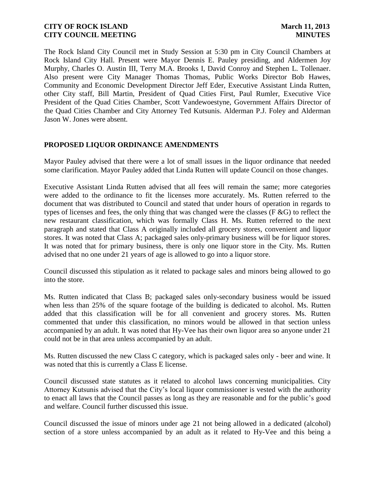The Rock Island City Council met in Study Session at 5:30 pm in City Council Chambers at Rock Island City Hall. Present were Mayor Dennis E. Pauley presiding, and Aldermen Joy Murphy, Charles O. Austin III, Terry M.A. Brooks I, David Conroy and Stephen L. Tollenaer. Also present were City Manager Thomas Thomas, Public Works Director Bob Hawes, Community and Economic Development Director Jeff Eder, Executive Assistant Linda Rutten, other City staff, Bill Martin, President of Quad Cities First, Paul Rumler, Executive Vice President of the Quad Cities Chamber, Scott Vandewoestyne, Government Affairs Director of the Quad Cities Chamber and City Attorney Ted Kutsunis. Alderman P.J. Foley and Alderman Jason W. Jones were absent.

#### **PROPOSED LIQUOR ORDINANCE AMENDMENTS**

Mayor Pauley advised that there were a lot of small issues in the liquor ordinance that needed some clarification. Mayor Pauley added that Linda Rutten will update Council on those changes.

Executive Assistant Linda Rutten advised that all fees will remain the same; more categories were added to the ordinance to fit the licenses more accurately. Ms. Rutten referred to the document that was distributed to Council and stated that under hours of operation in regards to types of licenses and fees, the only thing that was changed were the classes (F &G) to reflect the new restaurant classification, which was formally Class H. Ms. Rutten referred to the next paragraph and stated that Class A originally included all grocery stores, convenient and liquor stores. It was noted that Class A; packaged sales only-primary business will be for liquor stores. It was noted that for primary business, there is only one liquor store in the City. Ms. Rutten advised that no one under 21 years of age is allowed to go into a liquor store.

Council discussed this stipulation as it related to package sales and minors being allowed to go into the store.

Ms. Rutten indicated that Class B; packaged sales only-secondary business would be issued when less than 25% of the square footage of the building is dedicated to alcohol. Ms. Rutten added that this classification will be for all convenient and grocery stores. Ms. Rutten commented that under this classification, no minors would be allowed in that section unless accompanied by an adult. It was noted that Hy-Vee has their own liquor area so anyone under 21 could not be in that area unless accompanied by an adult.

Ms. Rutten discussed the new Class C category, which is packaged sales only - beer and wine. It was noted that this is currently a Class E license.

Council discussed state statutes as it related to alcohol laws concerning municipalities. City Attorney Kutsunis advised that the City's local liquor commissioner is vested with the authority to enact all laws that the Council passes as long as they are reasonable and for the public's good and welfare. Council further discussed this issue.

Council discussed the issue of minors under age 21 not being allowed in a dedicated (alcohol) section of a store unless accompanied by an adult as it related to Hy-Vee and this being a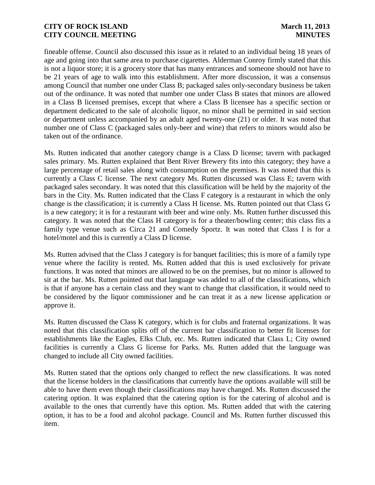fineable offense. Council also discussed this issue as it related to an individual being 18 years of age and going into that same area to purchase cigarettes. Alderman Conroy firmly stated that this is not a liquor store; it is a grocery store that has many entrances and someone should not have to be 21 years of age to walk into this establishment. After more discussion, it was a consensus among Council that number one under Class B; packaged sales only-secondary business be taken out of the ordinance. It was noted that number one under Class B states that minors are allowed in a Class B licensed premises, except that where a Class B licensee has a specific section or department dedicated to the sale of alcoholic liquor, no minor shall be permitted in said section or department unless accompanied by an adult aged twenty-one (21) or older. It was noted that number one of Class C (packaged sales only-beer and wine) that refers to minors would also be taken out of the ordinance.

Ms. Rutten indicated that another category change is a Class D license; tavern with packaged sales primary. Ms. Rutten explained that Bent River Brewery fits into this category; they have a large percentage of retail sales along with consumption on the premises. It was noted that this is currently a Class C license. The next category Ms. Rutten discussed was Class E; tavern with packaged sales secondary. It was noted that this classification will be held by the majority of the bars in the City. Ms. Rutten indicated that the Class F category is a restaurant in which the only change is the classification; it is currently a Class H license. Ms. Rutten pointed out that Class G is a new category; it is for a restaurant with beer and wine only. Ms. Rutten further discussed this category. It was noted that the Class H category is for a theater/bowling center; this class fits a family type venue such as Circa 21 and Comedy Sportz. It was noted that Class I is for a hotel/motel and this is currently a Class D license.

Ms. Rutten advised that the Class J category is for banquet facilities; this is more of a family type venue where the facility is rented. Ms. Rutten added that this is used exclusively for private functions. It was noted that minors are allowed to be on the premises, but no minor is allowed to sit at the bar. Ms. Rutten pointed out that language was added to all of the classifications, which is that if anyone has a certain class and they want to change that classification, it would need to be considered by the liquor commissioner and he can treat it as a new license application or approve it.

Ms. Rutten discussed the Class K category, which is for clubs and fraternal organizations. It was noted that this classification splits off of the current bar classification to better fit licenses for establishments like the Eagles, Elks Club, etc. Ms. Rutten indicated that Class L; City owned facilities is currently a Class G license for Parks. Ms. Rutten added that the language was changed to include all City owned facilities.

Ms. Rutten stated that the options only changed to reflect the new classifications. It was noted that the license holders in the classifications that currently have the options available will still be able to have them even though their classifications may have changed. Ms. Rutten discussed the catering option. It was explained that the catering option is for the catering of alcohol and is available to the ones that currently have this option. Ms. Rutten added that with the catering option, it has to be a food and alcohol package. Council and Ms. Rutten further discussed this item.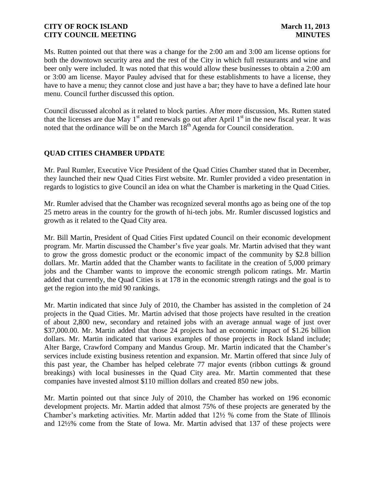Ms. Rutten pointed out that there was a change for the 2:00 am and 3:00 am license options for both the downtown security area and the rest of the City in which full restaurants and wine and beer only were included. It was noted that this would allow these businesses to obtain a 2:00 am or 3:00 am license. Mayor Pauley advised that for these establishments to have a license, they have to have a menu; they cannot close and just have a bar; they have to have a defined late hour menu. Council further discussed this option.

Council discussed alcohol as it related to block parties. After more discussion, Ms. Rutten stated that the licenses are due May  $1<sup>st</sup>$  and renewals go out after April  $1<sup>st</sup>$  in the new fiscal year. It was noted that the ordinance will be on the March  $18<sup>th</sup>$  Agenda for Council consideration.

# **QUAD CITIES CHAMBER UPDATE**

Mr. Paul Rumler, Executive Vice President of the Quad Cities Chamber stated that in December, they launched their new Quad Cities First website. Mr. Rumler provided a video presentation in regards to logistics to give Council an idea on what the Chamber is marketing in the Quad Cities.

Mr. Rumler advised that the Chamber was recognized several months ago as being one of the top 25 metro areas in the country for the growth of hi-tech jobs. Mr. Rumler discussed logistics and growth as it related to the Quad City area.

Mr. Bill Martin, President of Quad Cities First updated Council on their economic development program. Mr. Martin discussed the Chamber's five year goals. Mr. Martin advised that they want to grow the gross domestic product or the economic impact of the community by \$2.8 billion dollars. Mr. Martin added that the Chamber wants to facilitate in the creation of 5,000 primary jobs and the Chamber wants to improve the economic strength policom ratings. Mr. Martin added that currently, the Quad Cities is at 178 in the economic strength ratings and the goal is to get the region into the mid 90 rankings.

Mr. Martin indicated that since July of 2010, the Chamber has assisted in the completion of 24 projects in the Quad Cities. Mr. Martin advised that those projects have resulted in the creation of about 2,800 new, secondary and retained jobs with an average annual wage of just over \$37,000.00. Mr. Martin added that those 24 projects had an economic impact of \$1.26 billion dollars. Mr. Martin indicated that various examples of those projects in Rock Island include; Alter Barge, Crawford Company and Mandus Group. Mr. Martin indicated that the Chamber's services include existing business retention and expansion. Mr. Martin offered that since July of this past year, the Chamber has helped celebrate 77 major events (ribbon cuttings & ground breakings) with local businesses in the Quad City area. Mr. Martin commented that these companies have invested almost \$110 million dollars and created 850 new jobs.

Mr. Martin pointed out that since July of 2010, the Chamber has worked on 196 economic development projects. Mr. Martin added that almost 75% of these projects are generated by the Chamber's marketing activities. Mr. Martin added that 12½ % come from the State of Illinois and 12½% come from the State of Iowa. Mr. Martin advised that 137 of these projects were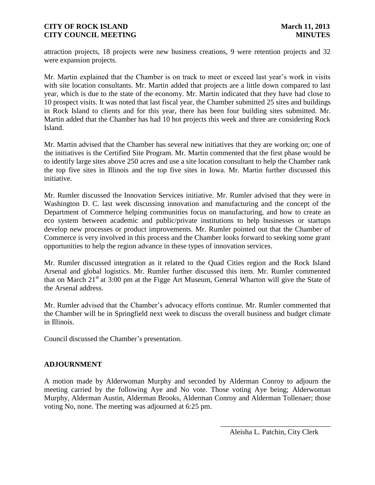attraction projects, 18 projects were new business creations, 9 were retention projects and 32 were expansion projects.

Mr. Martin explained that the Chamber is on track to meet or exceed last year's work in visits with site location consultants. Mr. Martin added that projects are a little down compared to last year, which is due to the state of the economy. Mr. Martin indicated that they have had close to 10 prospect visits. It was noted that last fiscal year, the Chamber submitted 25 sites and buildings in Rock Island to clients and for this year, there has been four building sites submitted. Mr. Martin added that the Chamber has had 10 hot projects this week and three are considering Rock Island.

Mr. Martin advised that the Chamber has several new initiatives that they are working on; one of the initiatives is the Certified Site Program. Mr. Martin commented that the first phase would be to identify large sites above 250 acres and use a site location consultant to help the Chamber rank the top five sites in Illinois and the top five sites in Iowa. Mr. Martin further discussed this initiative.

Mr. Rumler discussed the Innovation Services initiative. Mr. Rumler advised that they were in Washington D. C. last week discussing innovation and manufacturing and the concept of the Department of Commerce helping communities focus on manufacturing, and how to create an eco system between academic and public/private institutions to help businesses or startups develop new processes or product improvements. Mr. Rumler pointed out that the Chamber of Commerce is very involved in this process and the Chamber looks forward to seeking some grant opportunities to help the region advance in these types of innovation services.

Mr. Rumler discussed integration as it related to the Quad Cities region and the Rock Island Arsenal and global logistics. Mr. Rumler further discussed this item. Mr. Rumler commented that on March  $21<sup>st</sup>$  at 3:00 pm at the Figge Art Museum, General Wharton will give the State of the Arsenal address.

Mr. Rumler advised that the Chamber's advocacy efforts continue. Mr. Rumler commented that the Chamber will be in Springfield next week to discuss the overall business and budget climate in Illinois.

Council discussed the Chamber's presentation.

# **ADJOURNMENT**

A motion made by Alderwoman Murphy and seconded by Alderman Conroy to adjourn the meeting carried by the following Aye and No vote. Those voting Aye being; Alderwoman Murphy, Alderman Austin, Alderman Brooks, Alderman Conroy and Alderman Tollenaer; those voting No, none. The meeting was adjourned at 6:25 pm.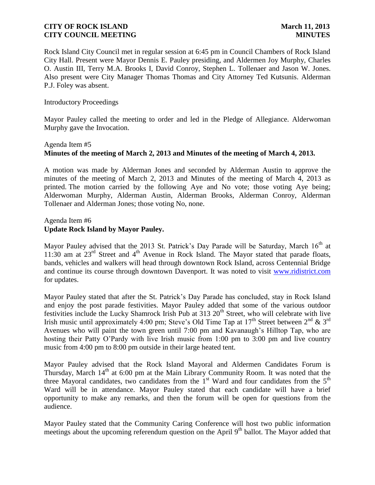Rock Island City Council met in regular session at 6:45 pm in Council Chambers of Rock Island City Hall. Present were Mayor Dennis E. Pauley presiding, and Aldermen Joy Murphy, Charles O. Austin III, Terry M.A. Brooks I, David Conroy, Stephen L. Tollenaer and Jason W. Jones. Also present were City Manager Thomas Thomas and City Attorney Ted Kutsunis. Alderman P.J. Foley was absent.

#### Introductory Proceedings

Mayor Pauley called the meeting to order and led in the Pledge of Allegiance. Alderwoman Murphy gave the Invocation.

# Agenda Item #5 **Minutes of the meeting of March 2, 2013 and Minutes of the meeting of March 4, 2013.**

A motion was made by Alderman Jones and seconded by Alderman Austin to approve the minutes of the meeting of March 2, 2013 and Minutes of the meeting of March 4, 2013 as printed. The motion carried by the following Aye and No vote; those voting Aye being; Alderwoman Murphy, Alderman Austin, Alderman Brooks, Alderman Conroy, Alderman Tollenaer and Alderman Jones; those voting No, none.

#### Agenda Item #6 **Update Rock Island by Mayor Pauley.**

Mayor Pauley advised that the 2013 St. Patrick's Day Parade will be Saturday, March 16<sup>th</sup> at 11:30 am at  $23^{rd}$  Street and  $4^{th}$  Avenue in Rock Island. The Mayor stated that parade floats, bands, vehicles and walkers will head through downtown Rock Island, across Centennial Bridge and continue its course through downtown Davenport. It was noted to visit [www.ridistrict.com](http://www.ridistrict.com/) for updates.

Mayor Pauley stated that after the St. Patrick's Day Parade has concluded, stay in Rock Island and enjoy the post parade festivities. Mayor Pauley added that some of the various outdoor festivities include the Lucky Shamrock Irish Pub at 313 20<sup>th</sup> Street, who will celebrate with live Irish music until approximately 4:00 pm; Steve's Old Time Tap at  $17<sup>th</sup>$  Street between  $2<sup>nd</sup>$  &  $3<sup>rd</sup>$ Avenues who will paint the town green until 7:00 pm and Kavanaugh's Hilltop Tap, who are hosting their Patty O'Pardy with live Irish music from 1:00 pm to 3:00 pm and live country music from 4:00 pm to 8:00 pm outside in their large heated tent.

Mayor Pauley advised that the Rock Island Mayoral and Aldermen Candidates Forum is Thursday, March  $14<sup>th</sup>$  at 6:00 pm at the Main Library Community Room. It was noted that the three Mayoral candidates, two candidates from the  $1<sup>st</sup>$  Ward and four candidates from the  $5<sup>th</sup>$ Ward will be in attendance. Mayor Pauley stated that each candidate will have a brief opportunity to make any remarks, and then the forum will be open for questions from the audience.

Mayor Pauley stated that the Community Caring Conference will host two public information meetings about the upcoming referendum question on the April 9<sup>th</sup> ballot. The Mayor added that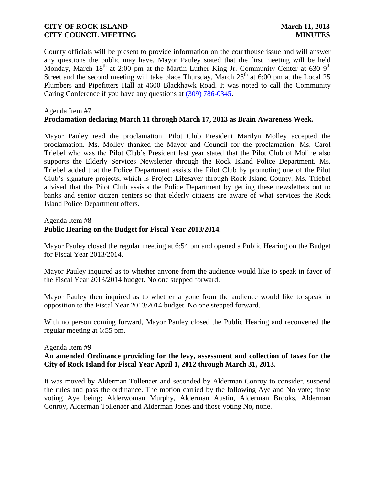County officials will be present to provide information on the courthouse issue and will answer any questions the public may have. Mayor Pauley stated that the first meeting will be held Monday, March  $18<sup>th</sup>$  at 2:00 pm at the Martin Luther King Jr. Community Center at 630 9<sup>th</sup> Street and the second meeting will take place Thursday, March  $28<sup>th</sup>$  at 6:00 pm at the Local 25 Plumbers and Pipefitters Hall at 4600 Blackhawk Road. It was noted to call the Community Caring Conference if you have any questions at [\(309\) 786-0345.](tel:%28309%29%C2%A0786-0345)

#### Agenda Item #7 **Proclamation declaring March 11 through March 17, 2013 as Brain Awareness Week.**

Mayor Pauley read the proclamation. Pilot Club President Marilyn Molley accepted the proclamation. Ms. Molley thanked the Mayor and Council for the proclamation. Ms. Carol Triebel who was the Pilot Club's President last year stated that the Pilot Club of Moline also supports the Elderly Services Newsletter through the Rock Island Police Department. Ms. Triebel added that the Police Department assists the Pilot Club by promoting one of the Pilot Club's signature projects, which is Project Lifesaver through Rock Island County. Ms. Triebel advised that the Pilot Club assists the Police Department by getting these newsletters out to banks and senior citizen centers so that elderly citizens are aware of what services the Rock Island Police Department offers.

#### Agenda Item #8

# **Public Hearing on the Budget for Fiscal Year 2013/2014.**

Mayor Pauley closed the regular meeting at 6:54 pm and opened a Public Hearing on the Budget for Fiscal Year 2013/2014.

Mayor Pauley inquired as to whether anyone from the audience would like to speak in favor of the Fiscal Year 2013/2014 budget. No one stepped forward.

Mayor Pauley then inquired as to whether anyone from the audience would like to speak in opposition to the Fiscal Year 2013/2014 budget. No one stepped forward.

With no person coming forward, Mayor Pauley closed the Public Hearing and reconvened the regular meeting at 6:55 pm.

#### Agenda Item #9

### **An amended Ordinance providing for the levy, assessment and collection of taxes for the City of Rock Island for Fiscal Year April 1, 2012 through March 31, 2013.**

 It was moved by Alderman Tollenaer and seconded by Alderman Conroy to consider, suspend the rules and pass the ordinance. The motion carried by the following Aye and No vote; those voting Aye being; Alderwoman Murphy, Alderman Austin, Alderman Brooks, Alderman Conroy, Alderman Tollenaer and Alderman Jones and those voting No, none.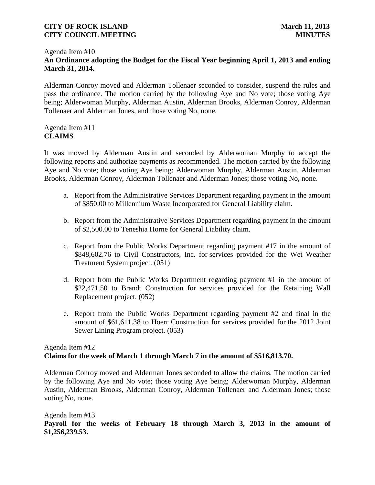#### Agenda Item #10 **An Ordinance adopting the Budget for the Fiscal Year beginning April 1, 2013 and ending March 31, 2014.**

Alderman Conroy moved and Alderman Tollenaer seconded to consider, suspend the rules and pass the ordinance. The motion carried by the following Aye and No vote; those voting Aye being; Alderwoman Murphy, Alderman Austin, Alderman Brooks, Alderman Conroy, Alderman Tollenaer and Alderman Jones, and those voting No, none.

### Agenda Item #11 **CLAIMS**

It was moved by Alderman Austin and seconded by Alderwoman Murphy to accept the following reports and authorize payments as recommended. The motion carried by the following Aye and No vote; those voting Aye being; Alderwoman Murphy, Alderman Austin, Alderman Brooks, Alderman Conroy, Alderman Tollenaer and Alderman Jones; those voting No, none.

- a. Report from the Administrative Services Department regarding payment in the amount of \$850.00 to Millennium Waste Incorporated for General Liability claim.
- b. Report from the Administrative Services Department regarding payment in the amount of \$2,500.00 to Teneshia Horne for General Liability claim.
- c. Report from the Public Works Department regarding payment #17 in the amount of \$848,602.76 to Civil Constructors, Inc. for services provided for the Wet Weather Treatment System project. (051)
- d. Report from the Public Works Department regarding payment #1 in the amount of \$22,471.50 to Brandt Construction for services provided for the Retaining Wall Replacement project. (052)
- e. Report from the Public Works Department regarding payment #2 and final in the amount of \$61,611.38 to Hoerr Construction for services provided for the 2012 Joint Sewer Lining Program project. (053)

# Agenda Item #12 **Claims for the week of March 1 through March 7 in the amount of \$516,813.70.**

Alderman Conroy moved and Alderman Jones seconded to allow the claims. The motion carried by the following Aye and No vote; those voting Aye being; Alderwoman Murphy, Alderman Austin, Alderman Brooks, Alderman Conroy, Alderman Tollenaer and Alderman Jones; those voting No, none.

# Agenda Item #13 **Payroll for the weeks of February 18 through March 3, 2013 in the amount of \$1,256,239.53.**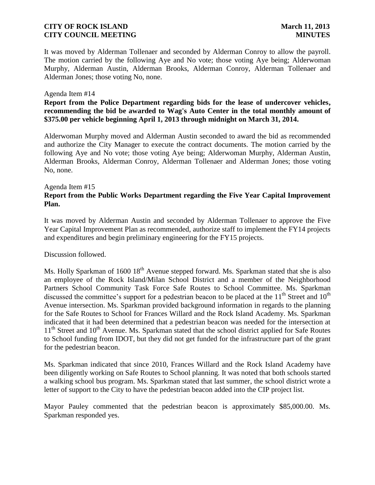It was moved by Alderman Tollenaer and seconded by Alderman Conroy to allow the payroll. The motion carried by the following Aye and No vote; those voting Aye being; Alderwoman Murphy, Alderman Austin, Alderman Brooks, Alderman Conroy, Alderman Tollenaer and Alderman Jones; those voting No, none.

#### Agenda Item #14

**Report from the Police Department regarding bids for the lease of undercover vehicles, recommending the bid be awarded to Wag's Auto Center in the total monthly amount of \$375.00 per vehicle beginning April 1, 2013 through midnight on March 31, 2014.**

Alderwoman Murphy moved and Alderman Austin seconded to award the bid as recommended and authorize the City Manager to execute the contract documents. The motion carried by the following Aye and No vote; those voting Aye being; Alderwoman Murphy, Alderman Austin, Alderman Brooks, Alderman Conroy, Alderman Tollenaer and Alderman Jones; those voting No, none.

#### Agenda Item #15 **Report from the Public Works Department regarding the Five Year Capital Improvement Plan.**

It was moved by Alderman Austin and seconded by Alderman Tollenaer to approve the Five Year Capital Improvement Plan as recommended, authorize staff to implement the FY14 projects and expenditures and begin preliminary engineering for the FY15 projects.

Discussion followed.

Ms. Holly Sparkman of 1600 18<sup>th</sup> Avenue stepped forward. Ms. Sparkman stated that she is also an employee of the Rock Island/Milan School District and a member of the Neighborhood Partners School Community Task Force Safe Routes to School Committee. Ms. Sparkman discussed the committee's support for a pedestrian beacon to be placed at the  $11<sup>th</sup>$  Street and  $10<sup>th</sup>$ Avenue intersection. Ms. Sparkman provided background information in regards to the planning for the Safe Routes to School for Frances Willard and the Rock Island Academy. Ms. Sparkman indicated that it had been determined that a pedestrian beacon was needed for the intersection at  $11<sup>th</sup>$  Street and  $10<sup>th</sup>$  Avenue. Ms. Sparkman stated that the school district applied for Safe Routes to School funding from IDOT, but they did not get funded for the infrastructure part of the grant for the pedestrian beacon.

Ms. Sparkman indicated that since 2010, Frances Willard and the Rock Island Academy have been diligently working on Safe Routes to School planning. It was noted that both schools started a walking school bus program. Ms. Sparkman stated that last summer, the school district wrote a letter of support to the City to have the pedestrian beacon added into the CIP project list.

Mayor Pauley commented that the pedestrian beacon is approximately \$85,000.00. Ms. Sparkman responded yes.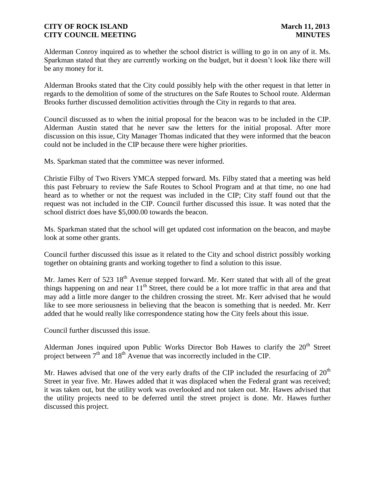Alderman Conroy inquired as to whether the school district is willing to go in on any of it. Ms. Sparkman stated that they are currently working on the budget, but it doesn't look like there will be any money for it.

Alderman Brooks stated that the City could possibly help with the other request in that letter in regards to the demolition of some of the structures on the Safe Routes to School route. Alderman Brooks further discussed demolition activities through the City in regards to that area.

Council discussed as to when the initial proposal for the beacon was to be included in the CIP. Alderman Austin stated that he never saw the letters for the initial proposal. After more discussion on this issue, City Manager Thomas indicated that they were informed that the beacon could not be included in the CIP because there were higher priorities.

Ms. Sparkman stated that the committee was never informed.

Christie Filby of Two Rivers YMCA stepped forward. Ms. Filby stated that a meeting was held this past February to review the Safe Routes to School Program and at that time, no one had heard as to whether or not the request was included in the CIP; City staff found out that the request was not included in the CIP. Council further discussed this issue. It was noted that the school district does have \$5,000.00 towards the beacon.

Ms. Sparkman stated that the school will get updated cost information on the beacon, and maybe look at some other grants.

Council further discussed this issue as it related to the City and school district possibly working together on obtaining grants and working together to find a solution to this issue.

Mr. James Kerr of 523  $18<sup>th</sup>$  Avenue stepped forward. Mr. Kerr stated that with all of the great things happening on and near  $11<sup>th</sup>$  Street, there could be a lot more traffic in that area and that may add a little more danger to the children crossing the street. Mr. Kerr advised that he would like to see more seriousness in believing that the beacon is something that is needed. Mr. Kerr added that he would really like correspondence stating how the City feels about this issue.

Council further discussed this issue.

Alderman Jones inquired upon Public Works Director Bob Hawes to clarify the  $20<sup>th</sup>$  Street project between  $7<sup>th</sup>$  and  $18<sup>th</sup>$  Avenue that was incorrectly included in the CIP.

Mr. Hawes advised that one of the very early drafts of the CIP included the resurfacing of  $20<sup>th</sup>$ Street in year five. Mr. Hawes added that it was displaced when the Federal grant was received; it was taken out, but the utility work was overlooked and not taken out. Mr. Hawes advised that the utility projects need to be deferred until the street project is done. Mr. Hawes further discussed this project.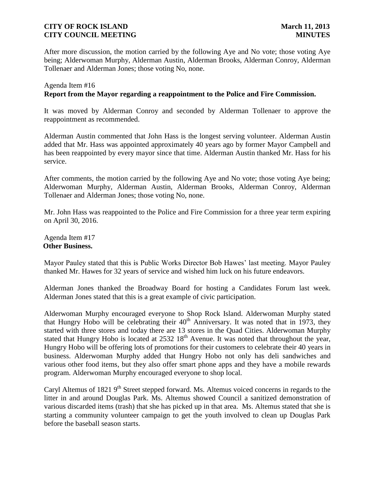After more discussion, the motion carried by the following Aye and No vote; those voting Aye being; Alderwoman Murphy, Alderman Austin, Alderman Brooks, Alderman Conroy, Alderman Tollenaer and Alderman Jones; those voting No, none.

# Agenda Item #16 **Report from the Mayor regarding a reappointment to the Police and Fire Commission.**

It was moved by Alderman Conroy and seconded by Alderman Tollenaer to approve the reappointment as recommended.

Alderman Austin commented that John Hass is the longest serving volunteer. Alderman Austin added that Mr. Hass was appointed approximately 40 years ago by former Mayor Campbell and has been reappointed by every mayor since that time. Alderman Austin thanked Mr. Hass for his service.

After comments, the motion carried by the following Aye and No vote; those voting Aye being; Alderwoman Murphy, Alderman Austin, Alderman Brooks, Alderman Conroy, Alderman Tollenaer and Alderman Jones; those voting No, none.

Mr. John Hass was reappointed to the Police and Fire Commission for a three year term expiring on April 30, 2016.

Agenda Item #17 **Other Business.**

Mayor Pauley stated that this is Public Works Director Bob Hawes' last meeting. Mayor Pauley thanked Mr. Hawes for 32 years of service and wished him luck on his future endeavors.

Alderman Jones thanked the Broadway Board for hosting a Candidates Forum last week. Alderman Jones stated that this is a great example of civic participation.

Alderwoman Murphy encouraged everyone to Shop Rock Island. Alderwoman Murphy stated that Hungry Hobo will be celebrating their  $40<sup>th</sup>$  Anniversary. It was noted that in 1973, they started with three stores and today there are 13 stores in the Quad Cities. Alderwoman Murphy stated that Hungry Hobo is located at  $2532\,18^{th}$  Avenue. It was noted that throughout the year, Hungry Hobo will be offering lots of promotions for their customers to celebrate their 40 years in business. Alderwoman Murphy added that Hungry Hobo not only has deli sandwiches and various other food items, but they also offer smart phone apps and they have a mobile rewards program. Alderwoman Murphy encouraged everyone to shop local.

Caryl Altemus of 1821 9<sup>th</sup> Street stepped forward. Ms. Altemus voiced concerns in regards to the litter in and around Douglas Park. Ms. Altemus showed Council a sanitized demonstration of various discarded items (trash) that she has picked up in that area. Ms. Altemus stated that she is starting a community volunteer campaign to get the youth involved to clean up Douglas Park before the baseball season starts.